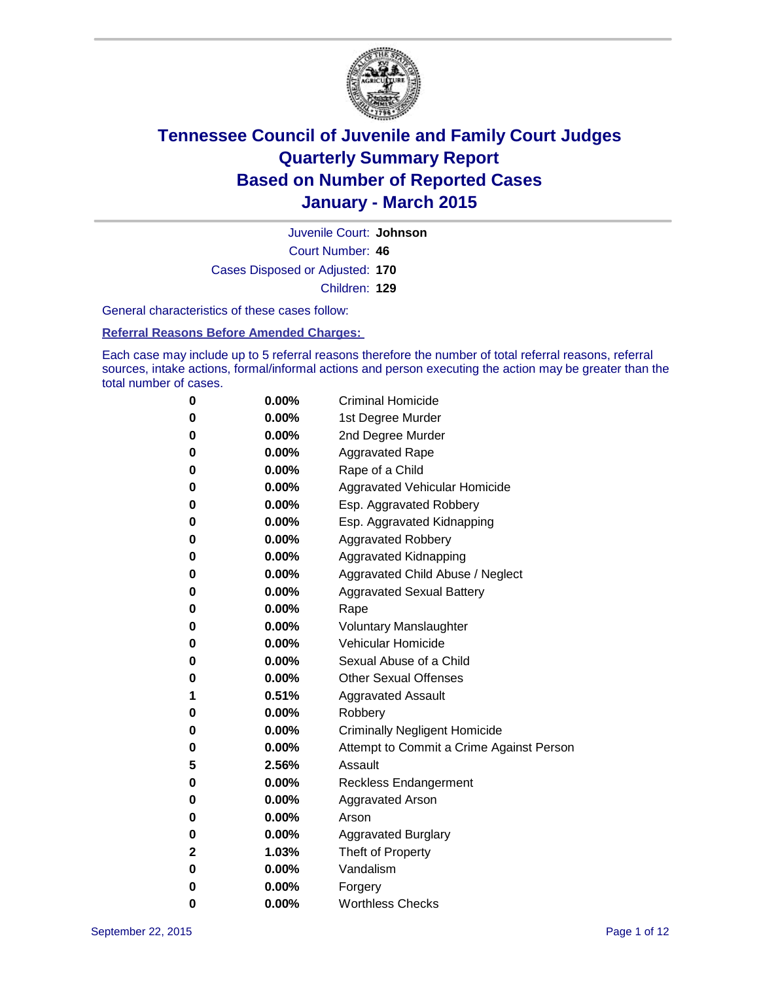

Court Number: **46** Juvenile Court: **Johnson** Cases Disposed or Adjusted: **170** Children: **129**

General characteristics of these cases follow:

#### **Referral Reasons Before Amended Charges:**

Each case may include up to 5 referral reasons therefore the number of total referral reasons, referral sources, intake actions, formal/informal actions and person executing the action may be greater than the total number of cases.

| 0            | $0.00\%$ | <b>Criminal Homicide</b>                 |
|--------------|----------|------------------------------------------|
| 0            | $0.00\%$ | 1st Degree Murder                        |
| $\bf{0}$     | $0.00\%$ | 2nd Degree Murder                        |
| 0            | $0.00\%$ | <b>Aggravated Rape</b>                   |
| 0            | $0.00\%$ | Rape of a Child                          |
| 0            | $0.00\%$ | Aggravated Vehicular Homicide            |
| $\bf{0}$     | $0.00\%$ | Esp. Aggravated Robbery                  |
| 0            | $0.00\%$ | Esp. Aggravated Kidnapping               |
| $\bf{0}$     | $0.00\%$ | <b>Aggravated Robbery</b>                |
| $\bf{0}$     | $0.00\%$ | <b>Aggravated Kidnapping</b>             |
| 0            | 0.00%    | Aggravated Child Abuse / Neglect         |
| 0            | $0.00\%$ | <b>Aggravated Sexual Battery</b>         |
| $\bf{0}$     | $0.00\%$ | Rape                                     |
| 0            | $0.00\%$ | <b>Voluntary Manslaughter</b>            |
| 0            | $0.00\%$ | <b>Vehicular Homicide</b>                |
| 0            | $0.00\%$ | Sexual Abuse of a Child                  |
| $\bf{0}$     | $0.00\%$ | <b>Other Sexual Offenses</b>             |
| 1            | 0.51%    | <b>Aggravated Assault</b>                |
| $\bf{0}$     | $0.00\%$ | Robbery                                  |
| 0            | $0.00\%$ | <b>Criminally Negligent Homicide</b>     |
| 0            | $0.00\%$ | Attempt to Commit a Crime Against Person |
| 5            | 2.56%    | Assault                                  |
| 0            | 0.00%    | <b>Reckless Endangerment</b>             |
| 0            | $0.00\%$ | <b>Aggravated Arson</b>                  |
| 0            | $0.00\%$ | Arson                                    |
| $\bf{0}$     | $0.00\%$ | <b>Aggravated Burglary</b>               |
| $\mathbf{2}$ | 1.03%    | Theft of Property                        |
| 0            | $0.00\%$ | Vandalism                                |
| 0            | $0.00\%$ | Forgery                                  |
| 0            | $0.00\%$ | <b>Worthless Checks</b>                  |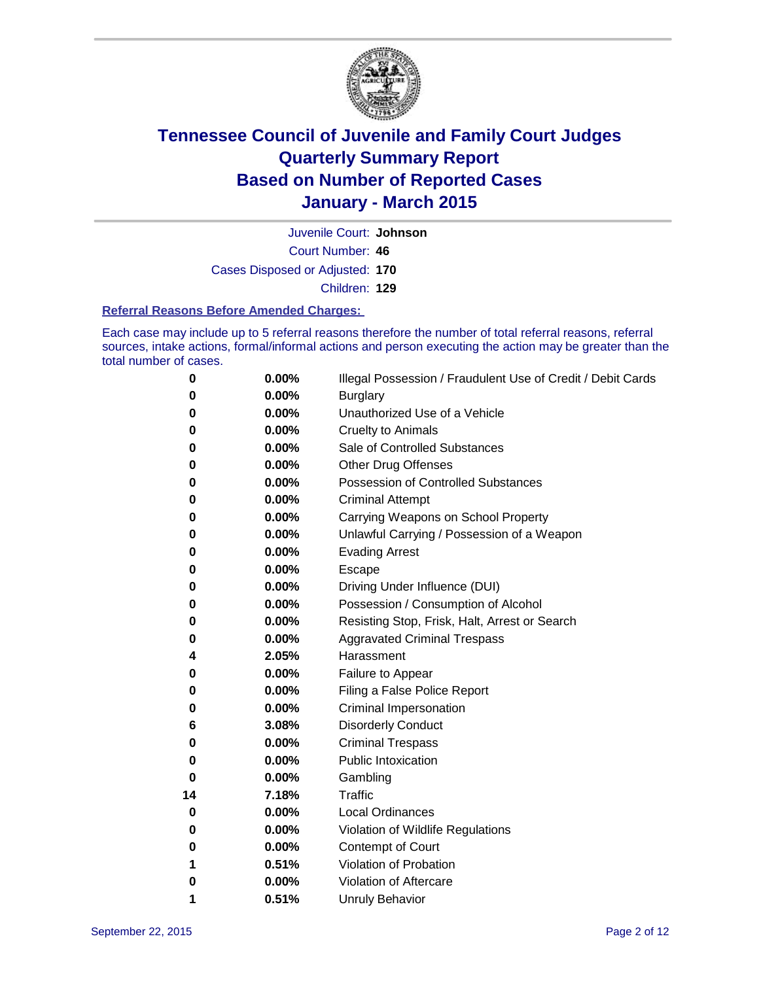

Court Number: **46** Juvenile Court: **Johnson** Cases Disposed or Adjusted: **170** Children: **129**

#### **Referral Reasons Before Amended Charges:**

Each case may include up to 5 referral reasons therefore the number of total referral reasons, referral sources, intake actions, formal/informal actions and person executing the action may be greater than the total number of cases.

| 0        | 0.00% | Illegal Possession / Fraudulent Use of Credit / Debit Cards |
|----------|-------|-------------------------------------------------------------|
| 0        | 0.00% | <b>Burglary</b>                                             |
| 0        | 0.00% | Unauthorized Use of a Vehicle                               |
| 0        | 0.00% | <b>Cruelty to Animals</b>                                   |
| 0        | 0.00% | Sale of Controlled Substances                               |
| 0        | 0.00% | Other Drug Offenses                                         |
| 0        | 0.00% | <b>Possession of Controlled Substances</b>                  |
| 0        | 0.00% | <b>Criminal Attempt</b>                                     |
| 0        | 0.00% | Carrying Weapons on School Property                         |
| 0        | 0.00% | Unlawful Carrying / Possession of a Weapon                  |
| 0        | 0.00% | <b>Evading Arrest</b>                                       |
| 0        | 0.00% | Escape                                                      |
| 0        | 0.00% | Driving Under Influence (DUI)                               |
| 0        | 0.00% | Possession / Consumption of Alcohol                         |
| 0        | 0.00% | Resisting Stop, Frisk, Halt, Arrest or Search               |
| 0        | 0.00% | <b>Aggravated Criminal Trespass</b>                         |
| 4        | 2.05% | Harassment                                                  |
| 0        | 0.00% | Failure to Appear                                           |
| 0        | 0.00% | Filing a False Police Report                                |
| 0        | 0.00% | <b>Criminal Impersonation</b>                               |
| 6        | 3.08% | <b>Disorderly Conduct</b>                                   |
| 0        | 0.00% | <b>Criminal Trespass</b>                                    |
| 0        | 0.00% | <b>Public Intoxication</b>                                  |
| $\bf{0}$ | 0.00% | Gambling                                                    |
| 14       | 7.18% | <b>Traffic</b>                                              |
| 0        | 0.00% | <b>Local Ordinances</b>                                     |
| 0        | 0.00% | Violation of Wildlife Regulations                           |
| 0        | 0.00% | Contempt of Court                                           |
| 1        | 0.51% | Violation of Probation                                      |
| 0        | 0.00% | Violation of Aftercare                                      |
| 1        | 0.51% | <b>Unruly Behavior</b>                                      |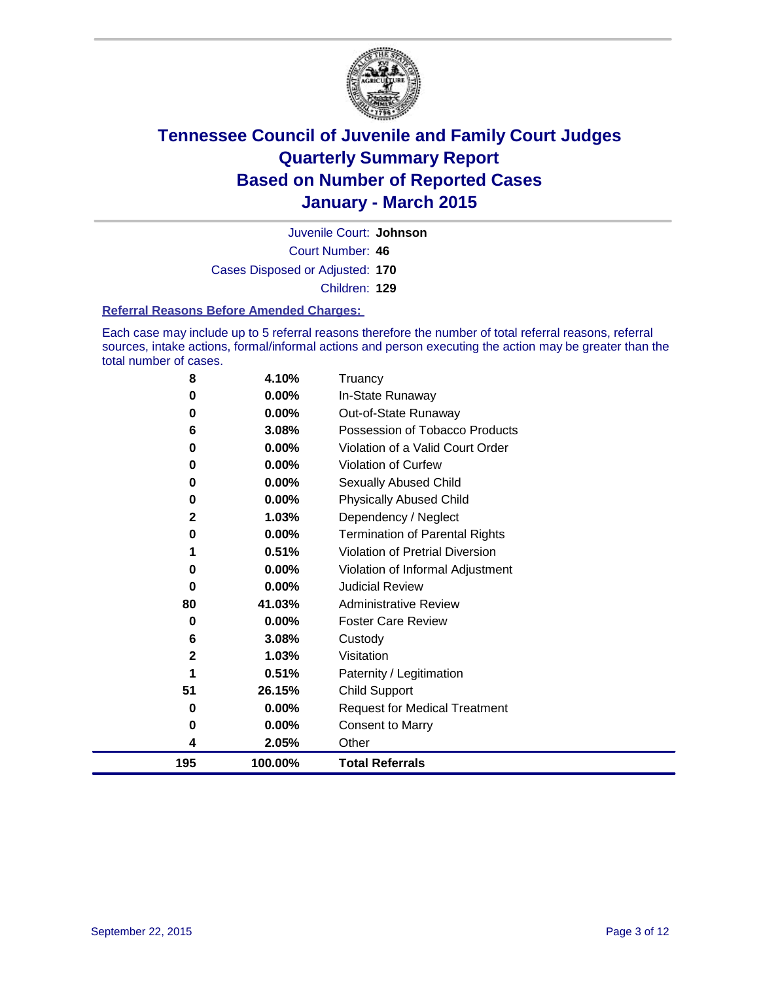

Court Number: **46** Juvenile Court: **Johnson** Cases Disposed or Adjusted: **170** Children: **129**

#### **Referral Reasons Before Amended Charges:**

Each case may include up to 5 referral reasons therefore the number of total referral reasons, referral sources, intake actions, formal/informal actions and person executing the action may be greater than the total number of cases.

| 8           | 4.10%    | Truancy                               |
|-------------|----------|---------------------------------------|
| 0           | 0.00%    | In-State Runaway                      |
| 0           | 0.00%    | Out-of-State Runaway                  |
| 6           | 3.08%    | Possession of Tobacco Products        |
| 0           | 0.00%    | Violation of a Valid Court Order      |
| 0           | 0.00%    | Violation of Curfew                   |
| 0           | $0.00\%$ | Sexually Abused Child                 |
| 0           | 0.00%    | <b>Physically Abused Child</b>        |
| 2           | 1.03%    | Dependency / Neglect                  |
| 0           | 0.00%    | <b>Termination of Parental Rights</b> |
| 1           | 0.51%    | Violation of Pretrial Diversion       |
| 0           | 0.00%    | Violation of Informal Adjustment      |
| 0           | 0.00%    | <b>Judicial Review</b>                |
| 80          | 41.03%   | <b>Administrative Review</b>          |
| 0           | 0.00%    | <b>Foster Care Review</b>             |
| 6           | 3.08%    | Custody                               |
| $\mathbf 2$ | 1.03%    | Visitation                            |
| 1           | 0.51%    | Paternity / Legitimation              |
| 51          | 26.15%   | <b>Child Support</b>                  |
| 0           | 0.00%    | <b>Request for Medical Treatment</b>  |
| 0           | 0.00%    | <b>Consent to Marry</b>               |
| 4           | 2.05%    | Other                                 |
| 195         | 100.00%  | <b>Total Referrals</b>                |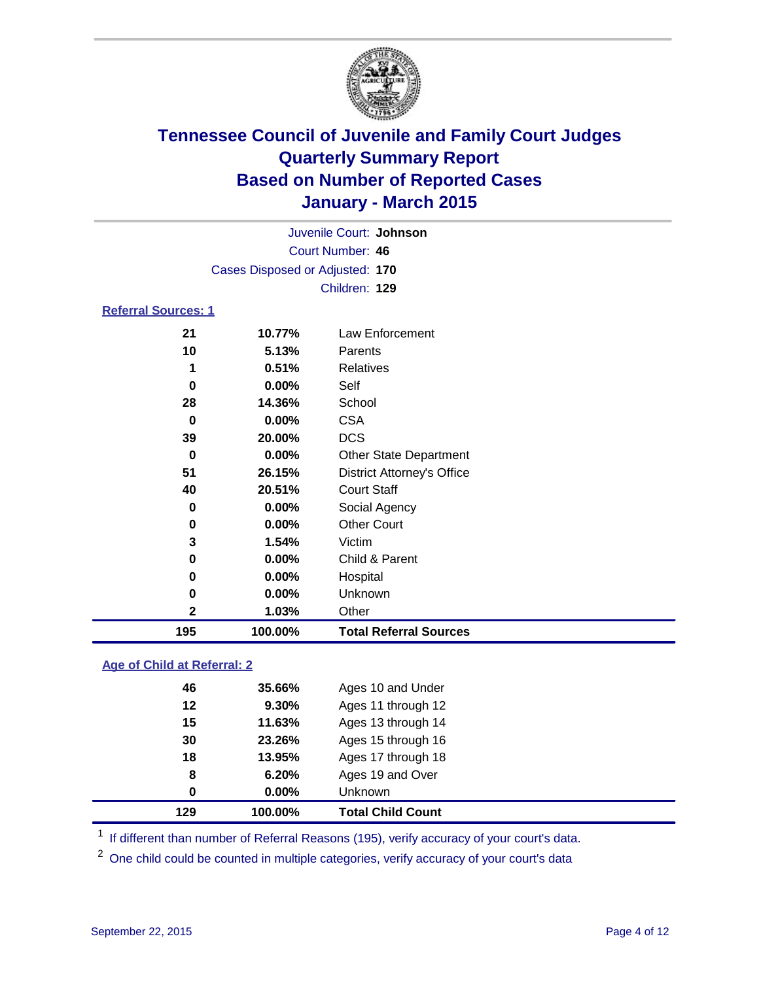

| Juvenile Court: Johnson    |                                 |                 |  |  |  |
|----------------------------|---------------------------------|-----------------|--|--|--|
|                            | Court Number: 46                |                 |  |  |  |
|                            | Cases Disposed or Adjusted: 170 |                 |  |  |  |
|                            |                                 | Children: 129   |  |  |  |
| <b>Referral Sources: 1</b> |                                 |                 |  |  |  |
| 21                         | 10.77%                          | Law Enforcement |  |  |  |
| 10                         | 5.13%                           | Parents         |  |  |  |
| 1                          | 0.51%                           | Relatives       |  |  |  |
| 0                          | $0.00\%$                        | Self            |  |  |  |
| 28                         | 14.36%                          | School          |  |  |  |

| 195 | 100.00%  | <b>Total Referral Sources</b>     |
|-----|----------|-----------------------------------|
| 2   | 1.03%    | Other                             |
| 0   | 0.00%    | Unknown                           |
| 0   | $0.00\%$ | Hospital                          |
| 0   | $0.00\%$ | Child & Parent                    |
| 3   | 1.54%    | Victim                            |
| 0   | 0.00%    | <b>Other Court</b>                |
| 0   | 0.00%    | Social Agency                     |
| 40  | 20.51%   | <b>Court Staff</b>                |
| 51  | 26.15%   | <b>District Attorney's Office</b> |
| 0   | $0.00\%$ | <b>Other State Department</b>     |
| 39  | 20.00%   | <b>DCS</b>                        |
| 0   | $0.00\%$ | <b>CSA</b>                        |
|     |          |                                   |

### **Age of Child at Referral: 2**

| 129      | 100.00% | <b>Total Child Count</b> |
|----------|---------|--------------------------|
| $\bf{0}$ | 0.00%   | Unknown                  |
| 8        | 6.20%   | Ages 19 and Over         |
| 18       | 13.95%  | Ages 17 through 18       |
| 30       | 23.26%  | Ages 15 through 16       |
| 15       | 11.63%  | Ages 13 through 14       |
| 12       | 9.30%   | Ages 11 through 12       |
| 46       | 35.66%  | Ages 10 and Under        |
|          |         |                          |

<sup>1</sup> If different than number of Referral Reasons (195), verify accuracy of your court's data.

One child could be counted in multiple categories, verify accuracy of your court's data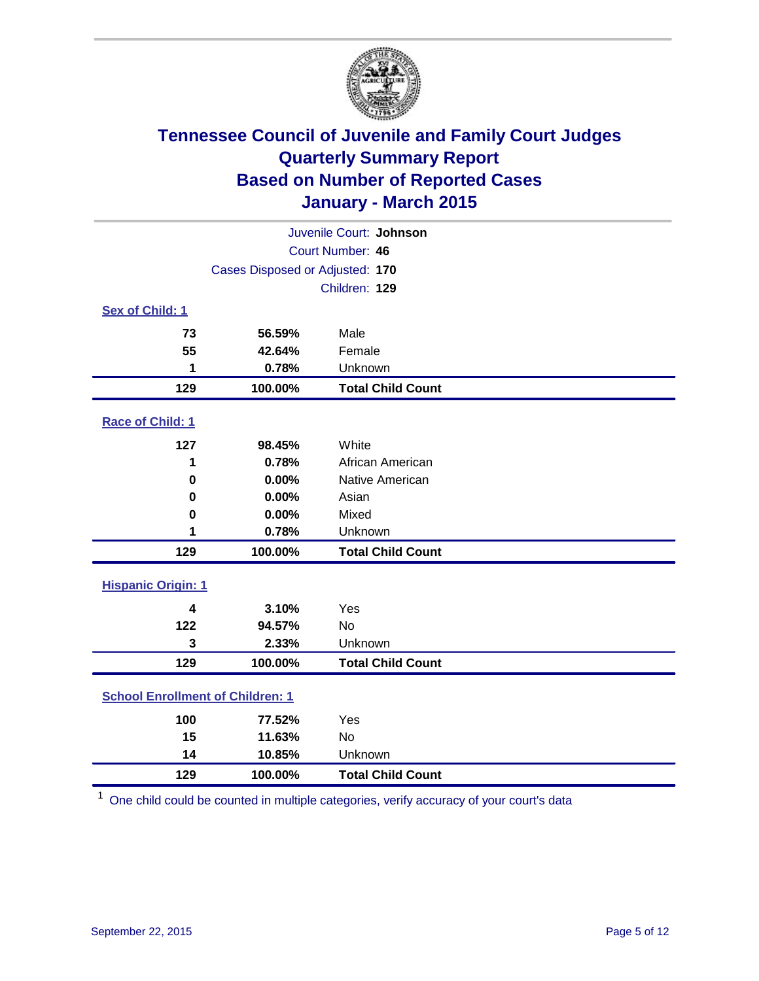

| Juvenile Court: Johnson                 |                                 |                          |  |  |
|-----------------------------------------|---------------------------------|--------------------------|--|--|
| Court Number: 46                        |                                 |                          |  |  |
|                                         | Cases Disposed or Adjusted: 170 |                          |  |  |
|                                         |                                 | Children: 129            |  |  |
| Sex of Child: 1                         |                                 |                          |  |  |
| 73                                      | 56.59%                          | Male                     |  |  |
| 55                                      | 42.64%                          | Female                   |  |  |
| 1                                       | 0.78%                           | Unknown                  |  |  |
| 129                                     | 100.00%                         | <b>Total Child Count</b> |  |  |
| Race of Child: 1                        |                                 |                          |  |  |
| 127                                     | 98.45%                          | White                    |  |  |
| 1                                       | 0.78%                           | African American         |  |  |
| 0                                       | 0.00%                           | Native American          |  |  |
| 0                                       | 0.00%                           | Asian                    |  |  |
| 0                                       | 0.00%                           | Mixed                    |  |  |
| 1                                       | 0.78%                           | Unknown                  |  |  |
| 129                                     | 100.00%                         | <b>Total Child Count</b> |  |  |
| <b>Hispanic Origin: 1</b>               |                                 |                          |  |  |
| 4                                       | 3.10%                           | Yes                      |  |  |
| 122                                     | 94.57%                          | <b>No</b>                |  |  |
| 3                                       | 2.33%                           | Unknown                  |  |  |
| 129                                     | 100.00%                         | <b>Total Child Count</b> |  |  |
| <b>School Enrollment of Children: 1</b> |                                 |                          |  |  |
| 100                                     | 77.52%                          | Yes                      |  |  |
| 15                                      | 11.63%                          | <b>No</b>                |  |  |
| 14                                      | 10.85%                          | Unknown                  |  |  |
| 129                                     | 100.00%                         | <b>Total Child Count</b> |  |  |

One child could be counted in multiple categories, verify accuracy of your court's data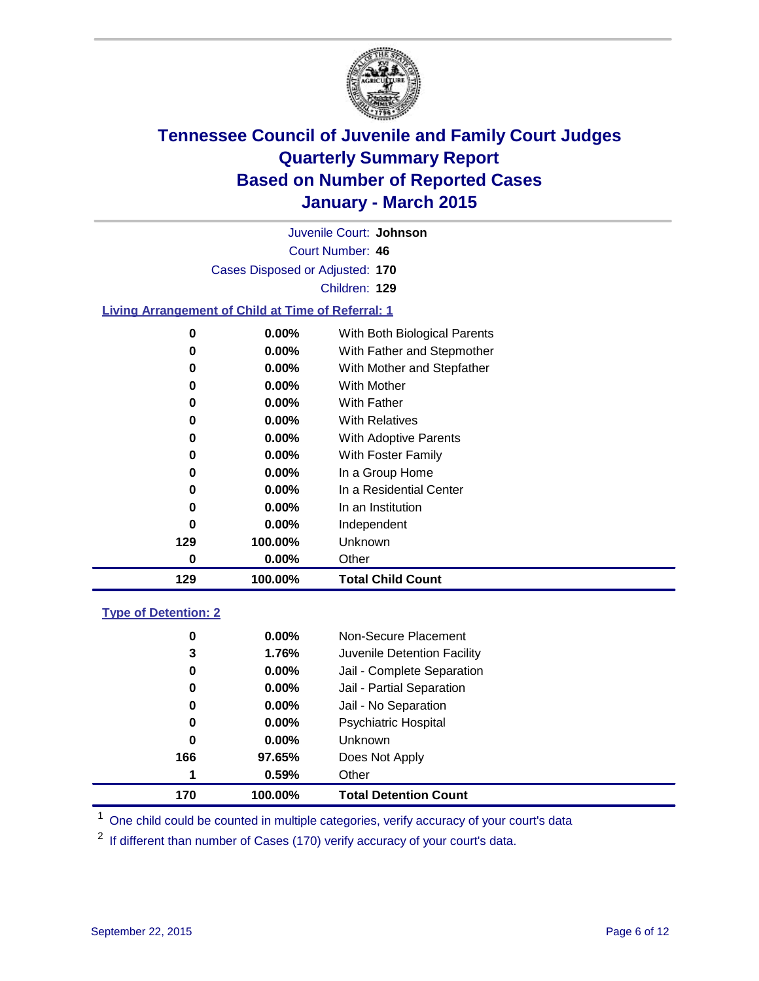

Court Number: **46** Juvenile Court: **Johnson** Cases Disposed or Adjusted: **170** Children: **129**

### **Living Arrangement of Child at Time of Referral: 1**

| 0   | $0.00\%$ | With Both Biological Parents |
|-----|----------|------------------------------|
| 0   | $0.00\%$ | With Father and Stepmother   |
| 0   | $0.00\%$ | With Mother and Stepfather   |
| 0   | $0.00\%$ | <b>With Mother</b>           |
| 0   | $0.00\%$ | With Father                  |
| 0   | 0.00%    | <b>With Relatives</b>        |
| 0   | 0.00%    | With Adoptive Parents        |
| 0   | $0.00\%$ | With Foster Family           |
| 0   | 0.00%    | In a Group Home              |
| 0   | $0.00\%$ | In a Residential Center      |
| 0   | $0.00\%$ | In an Institution            |
| 0   | $0.00\%$ | Independent                  |
| 129 | 100.00%  | Unknown                      |
| 0   | 0.00%    | Other                        |
| 129 | 100.00%  | <b>Total Child Count</b>     |

### **Type of Detention: 2**

| 0   | $0.00\%$ | Non-Secure Placement         |
|-----|----------|------------------------------|
| 3   | 1.76%    | Juvenile Detention Facility  |
| 0   | $0.00\%$ | Jail - Complete Separation   |
| 0   | 0.00%    | Jail - Partial Separation    |
| 0   | $0.00\%$ | Jail - No Separation         |
| 0   | $0.00\%$ | <b>Psychiatric Hospital</b>  |
| 0   | $0.00\%$ | <b>Unknown</b>               |
| 166 | 97.65%   | Does Not Apply               |
| 1   | 0.59%    | Other                        |
| 170 | 100.00%  | <b>Total Detention Count</b> |

<sup>1</sup> One child could be counted in multiple categories, verify accuracy of your court's data

If different than number of Cases (170) verify accuracy of your court's data.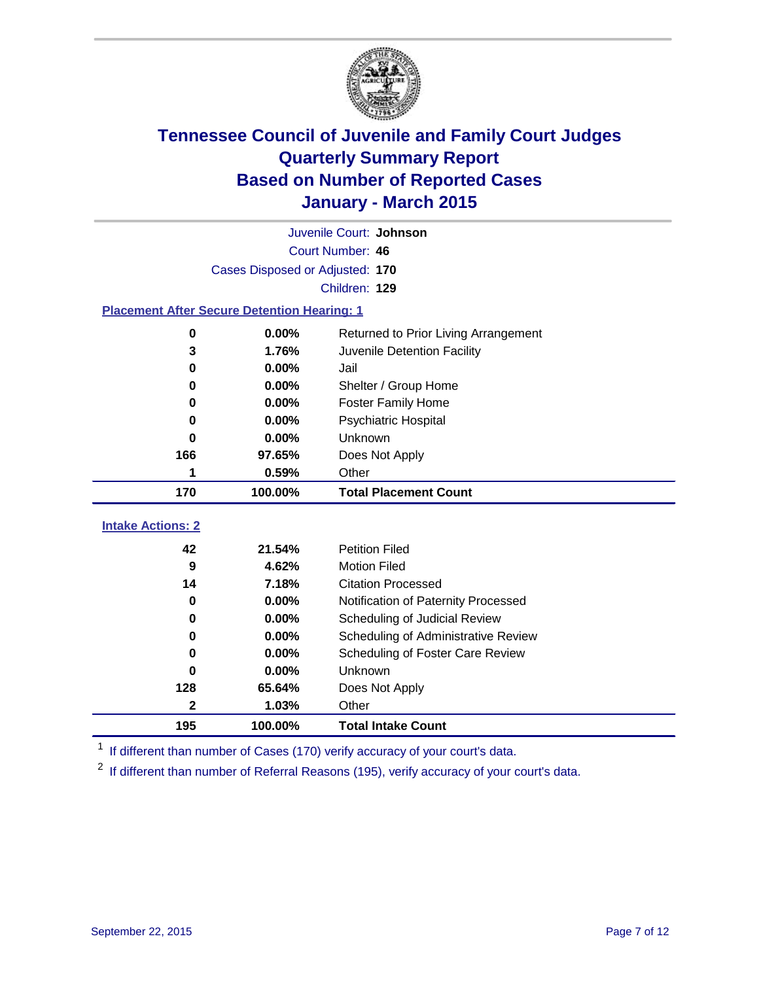

|                                                    | Juvenile Court: Johnson         |                                      |  |  |  |  |  |
|----------------------------------------------------|---------------------------------|--------------------------------------|--|--|--|--|--|
|                                                    | Court Number: 46                |                                      |  |  |  |  |  |
|                                                    | Cases Disposed or Adjusted: 170 |                                      |  |  |  |  |  |
|                                                    | Children: 129                   |                                      |  |  |  |  |  |
| <b>Placement After Secure Detention Hearing: 1</b> |                                 |                                      |  |  |  |  |  |
| $\mathbf 0$                                        | 0.00%                           | Returned to Prior Living Arrangement |  |  |  |  |  |
| 3                                                  | 1.76%                           | Juvenile Detention Facility          |  |  |  |  |  |
| 0                                                  | 0.00%                           | Jail                                 |  |  |  |  |  |
| $\bf{0}$                                           | 0.00%                           | Shelter / Group Home                 |  |  |  |  |  |
| 0                                                  | 0.00%                           | <b>Foster Family Home</b>            |  |  |  |  |  |
| 0                                                  | 0.00%                           | <b>Psychiatric Hospital</b>          |  |  |  |  |  |
| 0                                                  | 0.00%                           | Unknown                              |  |  |  |  |  |
| 166                                                | 97.65%                          | Does Not Apply                       |  |  |  |  |  |
| 1                                                  | 0.59%                           | Other                                |  |  |  |  |  |
| 170                                                | 100.00%                         | <b>Total Placement Count</b>         |  |  |  |  |  |
| <b>Intake Actions: 2</b>                           |                                 |                                      |  |  |  |  |  |
|                                                    |                                 |                                      |  |  |  |  |  |
| 42                                                 | 21.54%                          | <b>Petition Filed</b>                |  |  |  |  |  |
| 9                                                  | 4.62%                           | <b>Motion Filed</b>                  |  |  |  |  |  |
| 14                                                 | 7.18%                           | <b>Citation Processed</b>            |  |  |  |  |  |
| $\bf{0}$                                           | 0.00%                           | Notification of Paternity Processed  |  |  |  |  |  |
| 0                                                  | 0.00%                           | Scheduling of Judicial Review        |  |  |  |  |  |
| 0                                                  | 0.00%                           | Scheduling of Administrative Review  |  |  |  |  |  |
| 0                                                  | 0.00%                           | Scheduling of Foster Care Review     |  |  |  |  |  |
| 0                                                  | 0.00%                           | Unknown                              |  |  |  |  |  |
| 128                                                | 65.64%                          | Does Not Apply                       |  |  |  |  |  |
| $\mathbf{2}$                                       | 1.03%                           | Other                                |  |  |  |  |  |
| 195                                                | 100.00%                         | <b>Total Intake Count</b>            |  |  |  |  |  |

<sup>1</sup> If different than number of Cases (170) verify accuracy of your court's data.

<sup>2</sup> If different than number of Referral Reasons (195), verify accuracy of your court's data.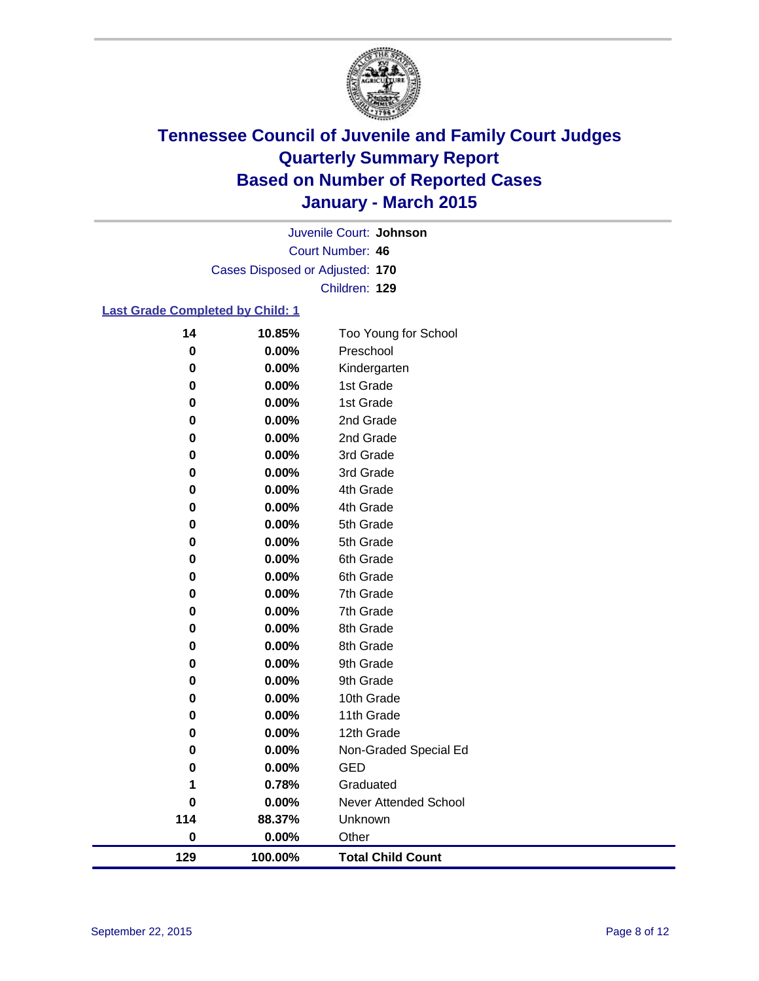

Court Number: **46** Juvenile Court: **Johnson** Cases Disposed or Adjusted: **170** Children: **129**

### **Last Grade Completed by Child: 1**

| 14       | 10.85%  | Too Young for School     |
|----------|---------|--------------------------|
| 0        | 0.00%   | Preschool                |
| 0        | 0.00%   | Kindergarten             |
| 0        | 0.00%   | 1st Grade                |
| 0        | 0.00%   | 1st Grade                |
| 0        | 0.00%   | 2nd Grade                |
| 0        | 0.00%   | 2nd Grade                |
| 0        | 0.00%   | 3rd Grade                |
| 0        | 0.00%   | 3rd Grade                |
| 0        | 0.00%   | 4th Grade                |
| 0        | 0.00%   | 4th Grade                |
| 0        | 0.00%   | 5th Grade                |
| 0        | 0.00%   | 5th Grade                |
| 0        | 0.00%   | 6th Grade                |
| 0        | 0.00%   | 6th Grade                |
| 0        | 0.00%   | 7th Grade                |
| 0        | 0.00%   | 7th Grade                |
| 0        | 0.00%   | 8th Grade                |
| 0        | 0.00%   | 8th Grade                |
| 0        | 0.00%   | 9th Grade                |
| 0        | 0.00%   | 9th Grade                |
| 0        | 0.00%   | 10th Grade               |
| 0        | 0.00%   | 11th Grade               |
| 0        | 0.00%   | 12th Grade               |
| $\bf{0}$ | 0.00%   | Non-Graded Special Ed    |
| 0        | 0.00%   | <b>GED</b>               |
| 1        | 0.78%   | Graduated                |
| 0        | 0.00%   | Never Attended School    |
| 114      | 88.37%  | Unknown                  |
| $\bf{0}$ | 0.00%   | Other                    |
| 129      | 100.00% | <b>Total Child Count</b> |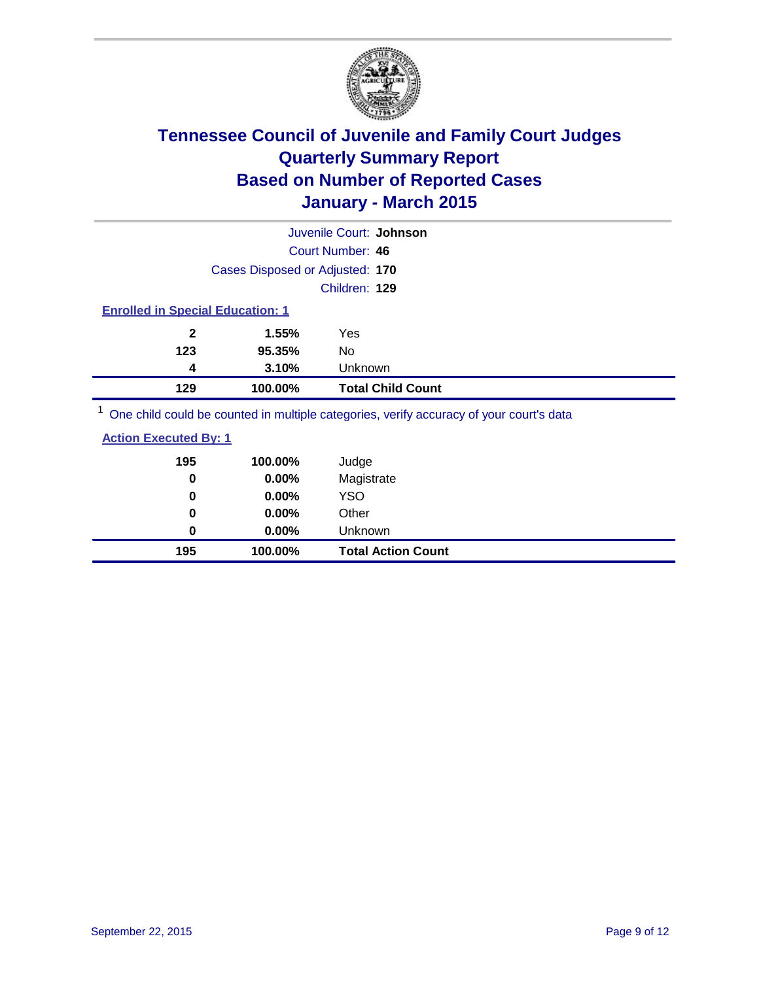

|                                         |                                 | Juvenile Court: Johnson                                                                                                                                                                                                           |  |
|-----------------------------------------|---------------------------------|-----------------------------------------------------------------------------------------------------------------------------------------------------------------------------------------------------------------------------------|--|
|                                         |                                 | Court Number: 46                                                                                                                                                                                                                  |  |
|                                         | Cases Disposed or Adjusted: 170 |                                                                                                                                                                                                                                   |  |
|                                         |                                 | Children: 129                                                                                                                                                                                                                     |  |
| <b>Enrolled in Special Education: 1</b> |                                 |                                                                                                                                                                                                                                   |  |
| 2                                       | 1.55%                           | Yes                                                                                                                                                                                                                               |  |
| 123                                     | 95.35%                          | No                                                                                                                                                                                                                                |  |
| 4                                       | 3.10%                           | Unknown                                                                                                                                                                                                                           |  |
| 129                                     | 100.00%                         | <b>Total Child Count</b>                                                                                                                                                                                                          |  |
|                                         |                                 | $\bigcap$ . The second contract of the second contract of the second contract of the second contract of the second contract of the second contract of the second contract of the second contract of the second contract of the se |  |

One child could be counted in multiple categories, verify accuracy of your court's data

| <b>Action Executed By: 1</b> |  |
|------------------------------|--|
|                              |  |

| 195 | 100.00%  | Judge                     |
|-----|----------|---------------------------|
| 0   | 0.00%    | Magistrate                |
| 0   | 0.00%    | <b>YSO</b>                |
| 0   | $0.00\%$ | Other                     |
| 0   | $0.00\%$ | Unknown                   |
| 195 | 100.00%  | <b>Total Action Count</b> |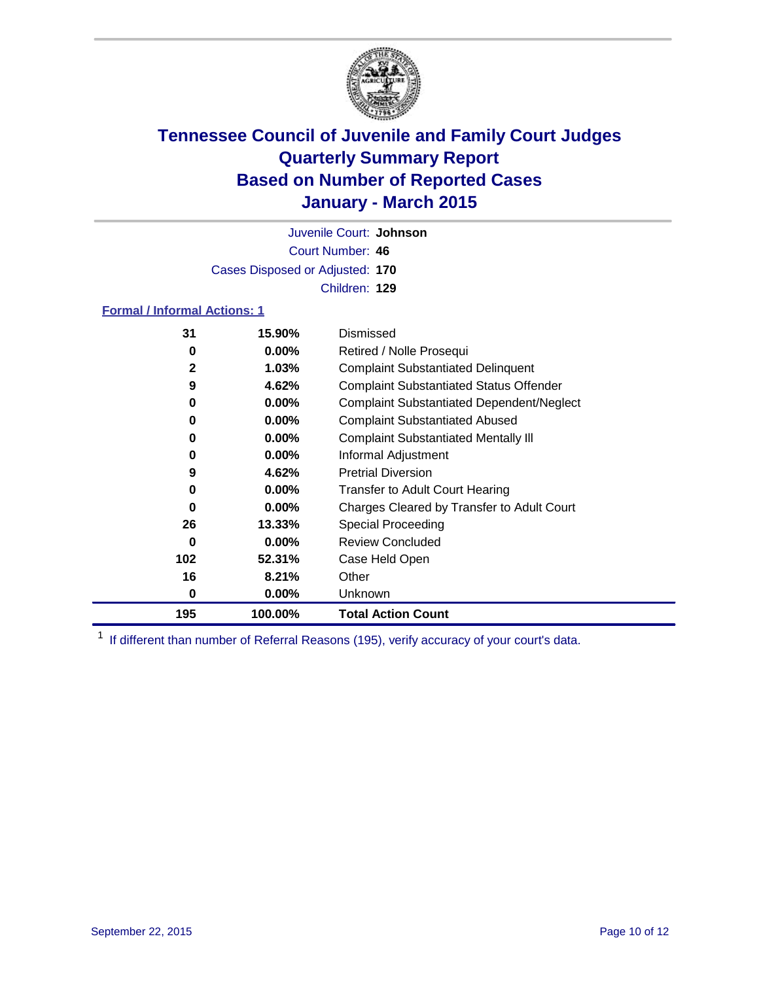

Court Number: **46** Juvenile Court: **Johnson** Cases Disposed or Adjusted: **170** Children: **129**

### **Formal / Informal Actions: 1**

| 31           | 15.90%   | Dismissed                                        |
|--------------|----------|--------------------------------------------------|
| 0            | $0.00\%$ | Retired / Nolle Prosequi                         |
| $\mathbf{2}$ | $1.03\%$ | <b>Complaint Substantiated Delinquent</b>        |
| 9            | 4.62%    | <b>Complaint Substantiated Status Offender</b>   |
| 0            | $0.00\%$ | <b>Complaint Substantiated Dependent/Neglect</b> |
| 0            | $0.00\%$ | <b>Complaint Substantiated Abused</b>            |
| 0            | $0.00\%$ | <b>Complaint Substantiated Mentally III</b>      |
| 0            | $0.00\%$ | Informal Adjustment                              |
| 9            | 4.62%    | <b>Pretrial Diversion</b>                        |
| 0            | $0.00\%$ | <b>Transfer to Adult Court Hearing</b>           |
| 0            | $0.00\%$ | Charges Cleared by Transfer to Adult Court       |
| 26           | 13.33%   | Special Proceeding                               |
| 0            | $0.00\%$ | <b>Review Concluded</b>                          |
| 102          | 52.31%   | Case Held Open                                   |
| 16           | 8.21%    | Other                                            |
| 0            | $0.00\%$ | <b>Unknown</b>                                   |
| 195          | 100.00%  | <b>Total Action Count</b>                        |

<sup>1</sup> If different than number of Referral Reasons (195), verify accuracy of your court's data.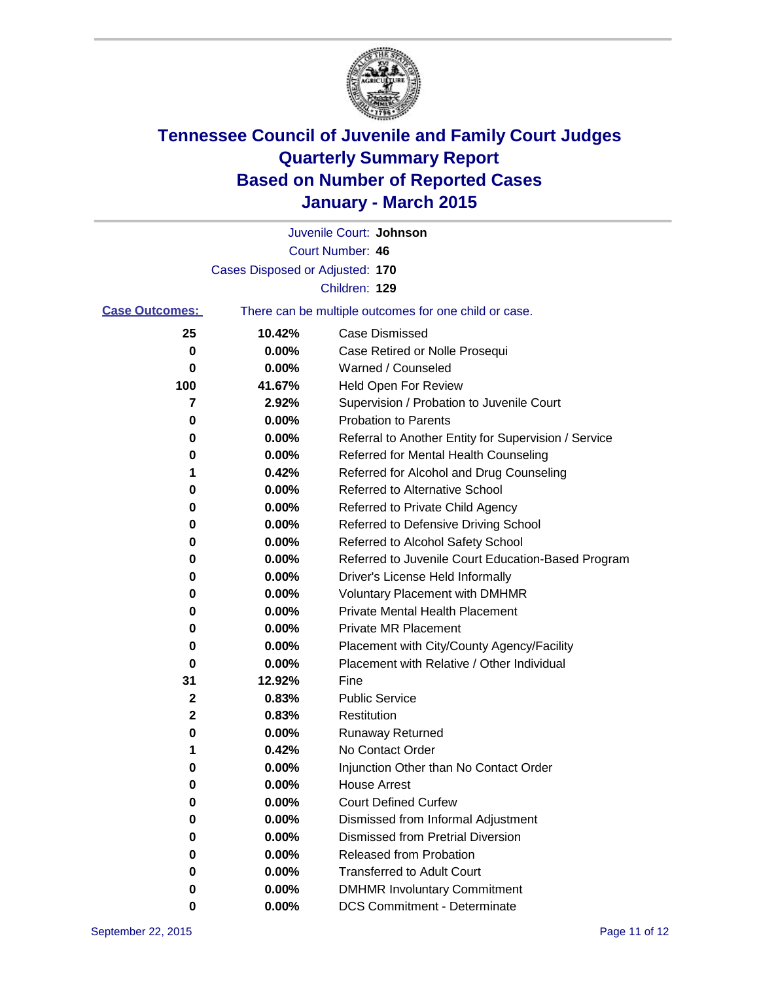

|                       |                                 | Juvenile Court: Johnson                               |
|-----------------------|---------------------------------|-------------------------------------------------------|
|                       |                                 | Court Number: 46                                      |
|                       | Cases Disposed or Adjusted: 170 |                                                       |
|                       |                                 | Children: 129                                         |
| <b>Case Outcomes:</b> |                                 | There can be multiple outcomes for one child or case. |
| 25                    | 10.42%                          | <b>Case Dismissed</b>                                 |
| 0                     | 0.00%                           | Case Retired or Nolle Prosequi                        |
| 0                     | 0.00%                           | Warned / Counseled                                    |
| 100                   | 41.67%                          | Held Open For Review                                  |
| 7                     | 2.92%                           | Supervision / Probation to Juvenile Court             |
| 0                     | 0.00%                           | <b>Probation to Parents</b>                           |
| 0                     | 0.00%                           | Referral to Another Entity for Supervision / Service  |
| 0                     | 0.00%                           | Referred for Mental Health Counseling                 |
| 1                     | 0.42%                           | Referred for Alcohol and Drug Counseling              |
| 0                     | 0.00%                           | Referred to Alternative School                        |
| 0                     | 0.00%                           | Referred to Private Child Agency                      |
| 0                     | 0.00%                           | Referred to Defensive Driving School                  |
| 0                     | 0.00%                           | Referred to Alcohol Safety School                     |
| 0                     | 0.00%                           | Referred to Juvenile Court Education-Based Program    |
| 0                     | 0.00%                           | Driver's License Held Informally                      |
| 0                     | 0.00%                           | <b>Voluntary Placement with DMHMR</b>                 |
| 0                     | 0.00%                           | <b>Private Mental Health Placement</b>                |
| 0                     | 0.00%                           | <b>Private MR Placement</b>                           |
| 0                     | 0.00%                           | Placement with City/County Agency/Facility            |
| 0                     | 0.00%                           | Placement with Relative / Other Individual            |
| 31                    | 12.92%                          | Fine                                                  |
| 2                     | 0.83%                           | <b>Public Service</b>                                 |
| 2                     | 0.83%                           | Restitution                                           |
| 0                     | 0.00%                           | <b>Runaway Returned</b>                               |
| 1                     | 0.42%                           | No Contact Order                                      |
| 0                     | 0.00%                           | Injunction Other than No Contact Order                |
| 0                     | 0.00%                           | <b>House Arrest</b>                                   |
| 0                     | 0.00%                           | <b>Court Defined Curfew</b>                           |
| 0                     | 0.00%                           | Dismissed from Informal Adjustment                    |
| 0                     | 0.00%                           | <b>Dismissed from Pretrial Diversion</b>              |
| 0                     | 0.00%                           | Released from Probation                               |
| 0                     | 0.00%                           | <b>Transferred to Adult Court</b>                     |
| 0                     | 0.00%                           | <b>DMHMR Involuntary Commitment</b>                   |
| 0                     | 0.00%                           | <b>DCS Commitment - Determinate</b>                   |